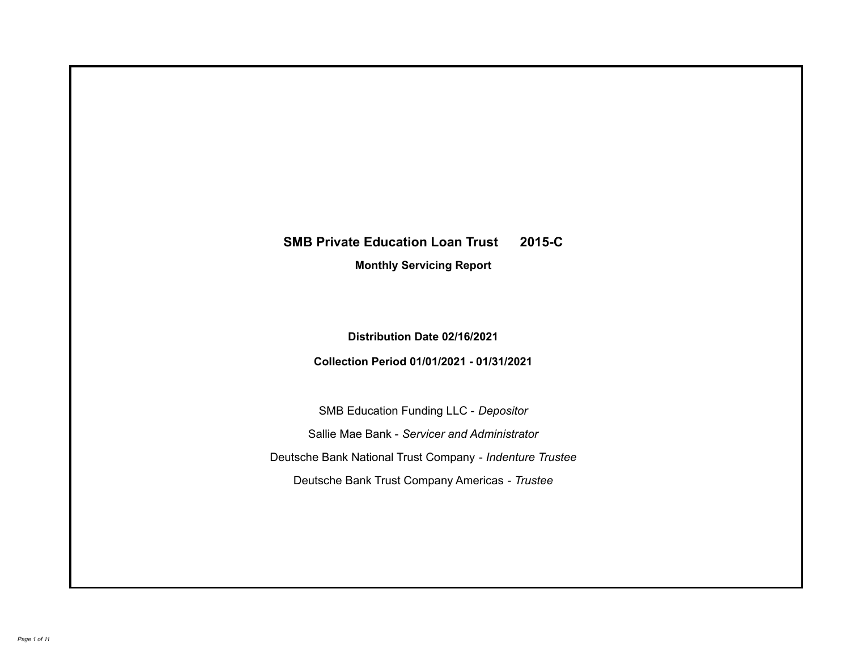# **SMB Private Education Loan Trust 2015-C**

**Monthly Servicing Report**

**Distribution Date 02/16/2021**

**Collection Period 01/01/2021 - 01/31/2021**

SMB Education Funding LLC - *Depositor* Sallie Mae Bank - *Servicer and Administrator* Deutsche Bank National Trust Company - *Indenture Trustee* Deutsche Bank Trust Company Americas - *Trustee*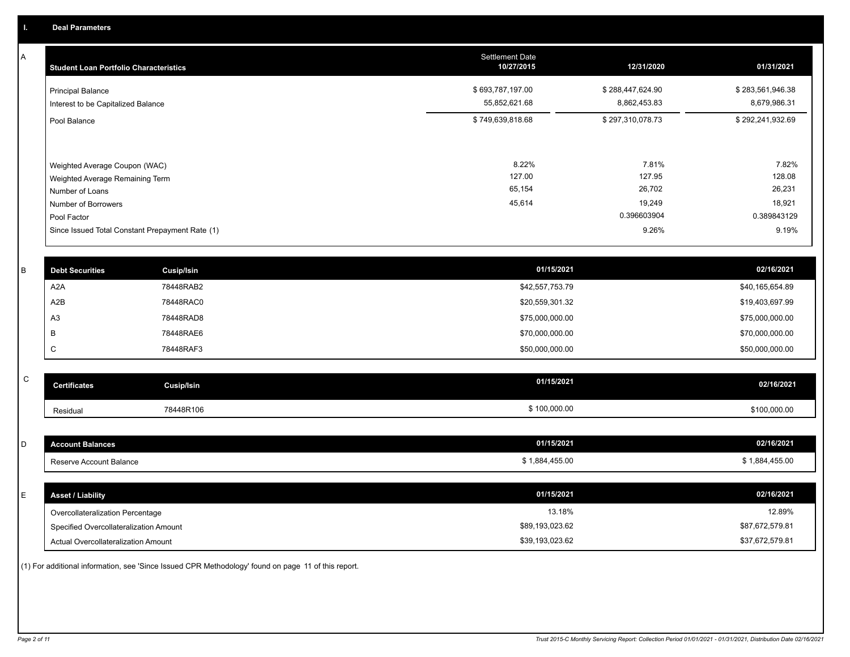A

| <b>Student Loan Portfolio Characteristics</b>                                                                             | <b>Settlement Date</b><br>10/27/2015 | 12/31/2020                                         | 01/31/2021                                         |
|---------------------------------------------------------------------------------------------------------------------------|--------------------------------------|----------------------------------------------------|----------------------------------------------------|
| <b>Principal Balance</b><br>Interest to be Capitalized Balance                                                            | \$693,787,197.00<br>55,852,621.68    | \$288,447,624.90<br>8,862,453.83                   | \$283,561,946.38<br>8,679,986.31                   |
| Pool Balance                                                                                                              | \$749,639,818.68                     | \$297,310,078.73                                   | \$292,241,932.69                                   |
| Weighted Average Coupon (WAC)<br>Weighted Average Remaining Term<br>Number of Loans<br>Number of Borrowers<br>Pool Factor | 8.22%<br>127.00<br>65,154<br>45,614  | 7.81%<br>127.95<br>26,702<br>19,249<br>0.396603904 | 7.82%<br>128.08<br>26,231<br>18,921<br>0.389843129 |
| Since Issued Total Constant Prepayment Rate (1)                                                                           |                                      | 9.26%                                              | 9.19%                                              |

| <b>Debt Securities</b> | <b>Cusip/Isin</b> | 01/15/2021      | 02/16/2021      |
|------------------------|-------------------|-----------------|-----------------|
| A2A                    | 78448RAB2         | \$42,557,753.79 | \$40,165,654.89 |
| A2B                    | 78448RAC0         | \$20,559,301.32 | \$19,403,697.99 |
| A <sub>3</sub>         | 78448RAD8         | \$75,000,000.00 | \$75,000,000.00 |
|                        | 78448RAE6         | \$70,000,000.00 | \$70,000,000.00 |
| ◡                      | 78448RAF3         | \$50,000,000.00 | \$50,000,000.00 |
|                        |                   |                 |                 |

| ۰<br>٦      |
|-------------|
| ł<br>I<br>۱ |

| $\mathsf{C}$ | <b>Certificates</b>                                | Cusip/Isin | 01/15/2021                   | 02/16/2021                   |
|--------------|----------------------------------------------------|------------|------------------------------|------------------------------|
|              | Residual                                           | 78448R106  | \$100,000.00                 | \$100,000.00                 |
|              |                                                    |            |                              |                              |
| D            | <b>Account Balances</b><br>Reserve Account Balance |            | 01/15/2021<br>\$1,884,455.00 | 02/16/2021<br>\$1,884,455.00 |
| E            | <b>Asset / Liability</b>                           |            | 01/15/2021                   | 02/16/2021                   |
|              | Overcollateralization Percentage                   |            | 13.18%                       | 12.89%                       |

\$89,193,023.62

Actual Overcollateralization Amount \$39,193,023.62

Specified Overcollateralization Amount

(1) For additional information, see 'Since Issued CPR Methodology' found on page 11 of this report.

\$37,672,579.81 \$87,672,579.81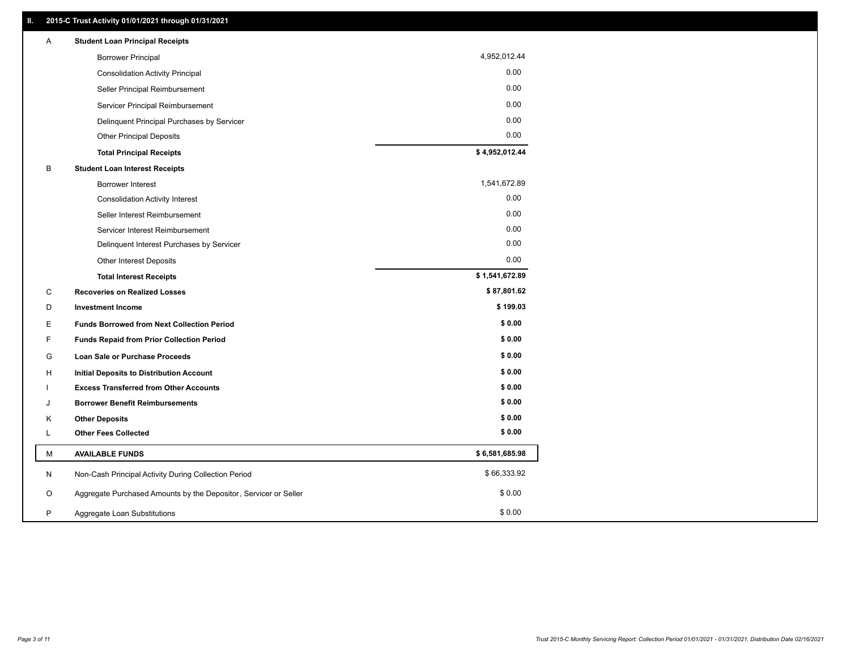| Α | <b>Student Loan Principal Receipts</b>                           |                |
|---|------------------------------------------------------------------|----------------|
|   | <b>Borrower Principal</b>                                        | 4,952,012.44   |
|   | <b>Consolidation Activity Principal</b>                          | 0.00           |
|   | Seller Principal Reimbursement                                   | 0.00           |
|   | Servicer Principal Reimbursement                                 | 0.00           |
|   | Delinquent Principal Purchases by Servicer                       | 0.00           |
|   | <b>Other Principal Deposits</b>                                  | 0.00           |
|   | <b>Total Principal Receipts</b>                                  | \$4,952,012.44 |
| B | <b>Student Loan Interest Receipts</b>                            |                |
|   | <b>Borrower Interest</b>                                         | 1,541,672.89   |
|   | <b>Consolidation Activity Interest</b>                           | 0.00           |
|   | Seller Interest Reimbursement                                    | 0.00           |
|   | Servicer Interest Reimbursement                                  | 0.00           |
|   | Delinquent Interest Purchases by Servicer                        | 0.00           |
|   | Other Interest Deposits                                          | 0.00           |
|   | <b>Total Interest Receipts</b>                                   | \$1,541,672.89 |
| C | <b>Recoveries on Realized Losses</b>                             | \$87,801.62    |
| D | <b>Investment Income</b>                                         | \$199.03       |
| Е | <b>Funds Borrowed from Next Collection Period</b>                | \$0.00         |
| F | <b>Funds Repaid from Prior Collection Period</b>                 | \$0.00         |
| G | Loan Sale or Purchase Proceeds                                   | \$0.00         |
| н | Initial Deposits to Distribution Account                         | \$0.00         |
|   | <b>Excess Transferred from Other Accounts</b>                    | \$0.00         |
| J | <b>Borrower Benefit Reimbursements</b>                           | \$0.00         |
| Κ | <b>Other Deposits</b>                                            | \$0.00         |
| L | <b>Other Fees Collected</b>                                      | \$0.00         |
| М | <b>AVAILABLE FUNDS</b>                                           | \$6,581,685.98 |
| N | Non-Cash Principal Activity During Collection Period             | \$66,333.92    |
| O | Aggregate Purchased Amounts by the Depositor, Servicer or Seller | \$0.00         |
| P | Aggregate Loan Substitutions                                     | \$0.00         |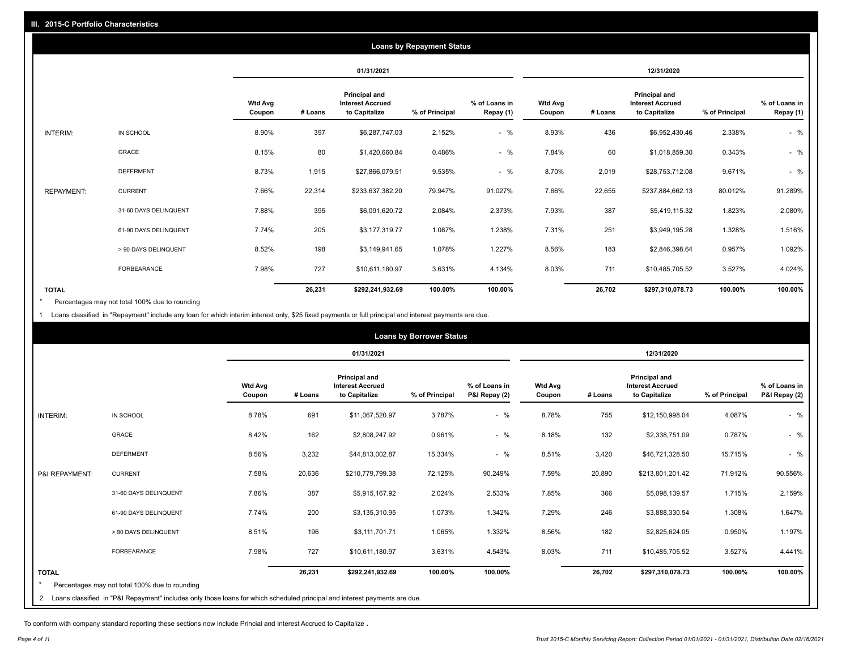|                   | <b>Loans by Repayment Status</b> |                          |         |                                                           |                |                            |                          |         |                                                           |                |                            |
|-------------------|----------------------------------|--------------------------|---------|-----------------------------------------------------------|----------------|----------------------------|--------------------------|---------|-----------------------------------------------------------|----------------|----------------------------|
|                   |                                  |                          |         | 01/31/2021                                                |                |                            |                          |         | 12/31/2020                                                |                |                            |
|                   |                                  | <b>Wtd Avg</b><br>Coupon | # Loans | Principal and<br><b>Interest Accrued</b><br>to Capitalize | % of Principal | % of Loans in<br>Repay (1) | <b>Wtd Avg</b><br>Coupon | # Loans | Principal and<br><b>Interest Accrued</b><br>to Capitalize | % of Principal | % of Loans in<br>Repay (1) |
| INTERIM:          | IN SCHOOL                        | 8.90%                    | 397     | \$6,287,747.03                                            | 2.152%         | $-$ %                      | 8.93%                    | 436     | \$6,952,430.46                                            | 2.338%         | $-$ %                      |
|                   | GRACE                            | 8.15%                    | 80      | \$1,420,660.84                                            | 0.486%         | $-$ %                      | 7.84%                    | 60      | \$1,018,859.30                                            | 0.343%         | $-$ %                      |
|                   | <b>DEFERMENT</b>                 | 8.73%                    | 1,915   | \$27,866,079.51                                           | 9.535%         | $-$ %                      | 8.70%                    | 2,019   | \$28,753,712.08                                           | 9.671%         | $-$ %                      |
| <b>REPAYMENT:</b> | <b>CURRENT</b>                   | 7.66%                    | 22,314  | \$233,637,382.20                                          | 79.947%        | 91.027%                    | 7.66%                    | 22,655  | \$237,884,662.13                                          | 80.012%        | 91.289%                    |
|                   | 31-60 DAYS DELINQUENT            | 7.88%                    | 395     | \$6,091,620.72                                            | 2.084%         | 2.373%                     | 7.93%                    | 387     | \$5,419,115.32                                            | 1.823%         | 2.080%                     |
|                   | 61-90 DAYS DELINQUENT            | 7.74%                    | 205     | \$3,177,319.77                                            | 1.087%         | 1.238%                     | 7.31%                    | 251     | \$3,949,195.28                                            | 1.328%         | 1.516%                     |
|                   | > 90 DAYS DELINQUENT             | 8.52%                    | 198     | \$3,149,941.65                                            | 1.078%         | 1.227%                     | 8.56%                    | 183     | \$2,846,398.64                                            | 0.957%         | 1.092%                     |
|                   | <b>FORBEARANCE</b>               | 7.98%                    | 727     | \$10,611,180.97                                           | 3.631%         | 4.134%                     | 8.03%                    | 711     | \$10,485,705.52                                           | 3.527%         | 4.024%                     |
| <b>TOTAL</b>      |                                  |                          | 26,231  | \$292,241,932.69                                          | 100.00%        | 100.00%                    |                          | 26,702  | \$297,310,078.73                                          | 100.00%        | 100.00%                    |

Percentages may not total 100% due to rounding \*

1 Loans classified in "Repayment" include any loan for which interim interest only, \$25 fixed payments or full principal and interest payments are due.

| <b>Loans by Borrower Status</b> |                                                                                                                            |                          |         |                                                                  |                |                                |                          |         |                                                           |                |                                |
|---------------------------------|----------------------------------------------------------------------------------------------------------------------------|--------------------------|---------|------------------------------------------------------------------|----------------|--------------------------------|--------------------------|---------|-----------------------------------------------------------|----------------|--------------------------------|
|                                 |                                                                                                                            |                          |         | 01/31/2021                                                       |                |                                | 12/31/2020               |         |                                                           |                |                                |
|                                 |                                                                                                                            | <b>Wtd Avg</b><br>Coupon | # Loans | <b>Principal and</b><br><b>Interest Accrued</b><br>to Capitalize | % of Principal | % of Loans in<br>P&I Repay (2) | <b>Wtd Avg</b><br>Coupon | # Loans | Principal and<br><b>Interest Accrued</b><br>to Capitalize | % of Principal | % of Loans in<br>P&I Repay (2) |
| INTERIM:                        | IN SCHOOL                                                                                                                  | 8.78%                    | 691     | \$11,067,520.97                                                  | 3.787%         | $-$ %                          | 8.78%                    | 755     | \$12,150,998.04                                           | 4.087%         | $-$ %                          |
|                                 | <b>GRACE</b>                                                                                                               | 8.42%                    | 162     | \$2,808,247.92                                                   | 0.961%         | $-$ %                          | 8.18%                    | 132     | \$2,338,751.09                                            | 0.787%         | $-$ %                          |
|                                 | <b>DEFERMENT</b>                                                                                                           | 8.56%                    | 3,232   | \$44,813,002.87                                                  | 15.334%        | $-$ %                          | 8.51%                    | 3,420   | \$46,721,328.50                                           | 15.715%        | $-$ %                          |
| P&I REPAYMENT:                  | <b>CURRENT</b>                                                                                                             | 7.58%                    | 20,636  | \$210,779,799.38                                                 | 72.125%        | 90.249%                        | 7.59%                    | 20,890  | \$213,801,201.42                                          | 71.912%        | 90.556%                        |
|                                 | 31-60 DAYS DELINQUENT                                                                                                      | 7.86%                    | 387     | \$5,915,167.92                                                   | 2.024%         | 2.533%                         | 7.85%                    | 366     | \$5,098,139.57                                            | 1.715%         | 2.159%                         |
|                                 | 61-90 DAYS DELINQUENT                                                                                                      | 7.74%                    | 200     | \$3,135,310.95                                                   | 1.073%         | 1.342%                         | 7.29%                    | 246     | \$3,888,330.54                                            | 1.308%         | 1.647%                         |
|                                 | > 90 DAYS DELINQUENT                                                                                                       | 8.51%                    | 196     | \$3,111,701.71                                                   | 1.065%         | 1.332%                         | 8.56%                    | 182     | \$2,825,624.05                                            | 0.950%         | 1.197%                         |
|                                 | <b>FORBEARANCE</b>                                                                                                         | 7.98%                    | 727     | \$10,611,180.97                                                  | 3.631%         | 4.543%                         | 8.03%                    | 711     | \$10,485,705.52                                           | 3.527%         | 4.441%                         |
| <b>TOTAL</b>                    |                                                                                                                            |                          | 26,231  | \$292,241,932.69                                                 | 100.00%        | 100.00%                        |                          | 26,702  | \$297,310,078.73                                          | 100.00%        | 100.00%                        |
|                                 | Percentages may not total 100% due to rounding                                                                             |                          |         |                                                                  |                |                                |                          |         |                                                           |                |                                |
| $\overline{2}$                  | Loans classified in "P&I Repayment" includes only those loans for which scheduled principal and interest payments are due. |                          |         |                                                                  |                |                                |                          |         |                                                           |                |                                |

To conform with company standard reporting these sections now include Princial and Interest Accrued to Capitalize .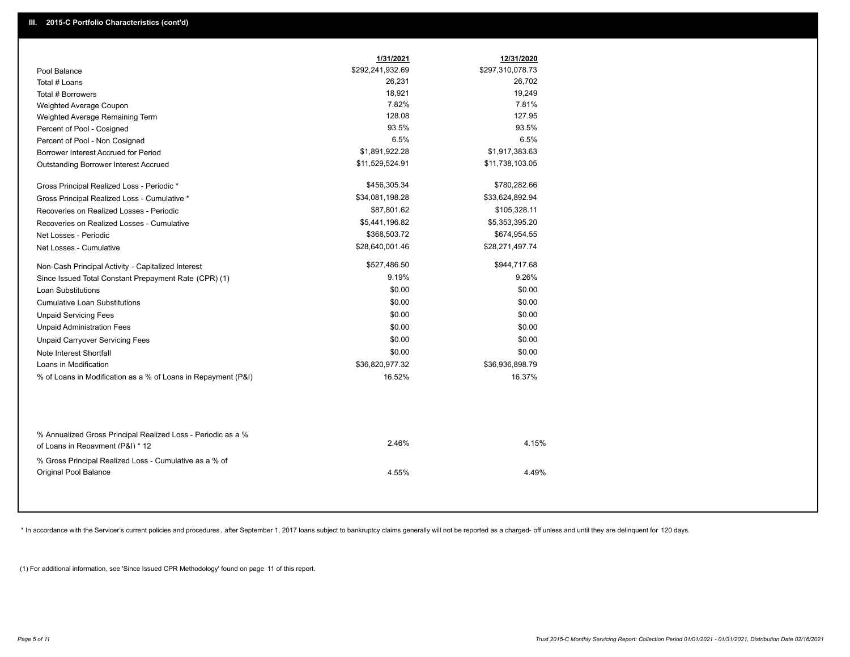|                                                                                 | 1/31/2021        | 12/31/2020       |
|---------------------------------------------------------------------------------|------------------|------------------|
| Pool Balance                                                                    | \$292,241,932.69 | \$297,310,078.73 |
| Total # Loans                                                                   | 26,231           | 26,702           |
| Total # Borrowers                                                               | 18,921           | 19,249           |
| Weighted Average Coupon                                                         | 7.82%            | 7.81%            |
| Weighted Average Remaining Term                                                 | 128.08           | 127.95           |
| Percent of Pool - Cosigned                                                      | 93.5%            | 93.5%            |
| Percent of Pool - Non Cosigned                                                  | 6.5%             | 6.5%             |
| Borrower Interest Accrued for Period                                            | \$1,891,922.28   | \$1,917,383.63   |
| <b>Outstanding Borrower Interest Accrued</b>                                    | \$11,529,524.91  | \$11,738,103.05  |
| Gross Principal Realized Loss - Periodic *                                      | \$456,305.34     | \$780,282.66     |
| Gross Principal Realized Loss - Cumulative *                                    | \$34,081,198.28  | \$33,624,892.94  |
| Recoveries on Realized Losses - Periodic                                        | \$87,801.62      | \$105,328.11     |
| Recoveries on Realized Losses - Cumulative                                      | \$5,441,196.82   | \$5,353,395.20   |
| Net Losses - Periodic                                                           | \$368,503.72     | \$674,954.55     |
| Net Losses - Cumulative                                                         | \$28,640,001.46  | \$28,271,497.74  |
| Non-Cash Principal Activity - Capitalized Interest                              | \$527,486.50     | \$944,717.68     |
| Since Issued Total Constant Prepayment Rate (CPR) (1)                           | 9.19%            | 9.26%            |
| <b>Loan Substitutions</b>                                                       | \$0.00           | \$0.00           |
| <b>Cumulative Loan Substitutions</b>                                            | \$0.00           | \$0.00           |
| <b>Unpaid Servicing Fees</b>                                                    | \$0.00           | \$0.00           |
| <b>Unpaid Administration Fees</b>                                               | \$0.00           | \$0.00           |
| <b>Unpaid Carryover Servicing Fees</b>                                          | \$0.00           | \$0.00           |
| Note Interest Shortfall                                                         | \$0.00           | \$0.00           |
| Loans in Modification                                                           | \$36,820,977.32  | \$36,936,898.79  |
| % of Loans in Modification as a % of Loans in Repayment (P&I)                   | 16.52%           | 16.37%           |
| % Annualized Gross Principal Realized Loss - Periodic as a %                    |                  |                  |
| of Loans in Repayment (P&I) * 12                                                | 2.46%            | 4.15%            |
| % Gross Principal Realized Loss - Cumulative as a % of<br>Original Pool Balance | 4.55%            | 4.49%            |

\* In accordance with the Servicer's current policies and procedures, after September 1, 2017 loans subject to bankruptcy claims generally will not be reported as a charged- off unless and until they are delinquent for 120

(1) For additional information, see 'Since Issued CPR Methodology' found on page 11 of this report.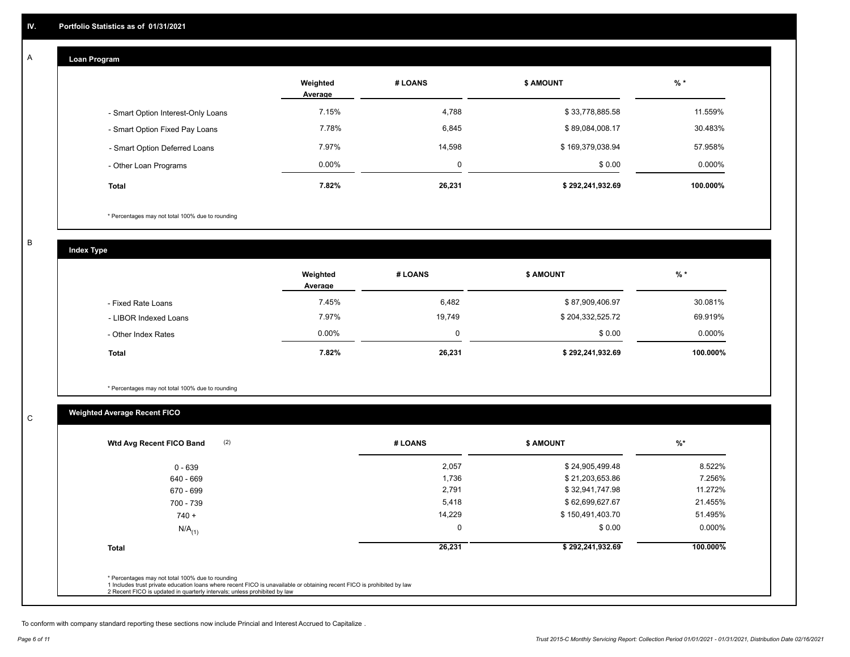## **Loan Program**

A

|                                    | Weighted<br>Average | # LOANS | <b>\$ AMOUNT</b> | $%$ *    |
|------------------------------------|---------------------|---------|------------------|----------|
| - Smart Option Interest-Only Loans | 7.15%               | 4,788   | \$33,778,885.58  | 11.559%  |
| - Smart Option Fixed Pay Loans     | 7.78%               | 6,845   | \$89,084,008.17  | 30.483%  |
| - Smart Option Deferred Loans      | 7.97%               | 14.598  | \$169,379,038.94 | 57.958%  |
| - Other Loan Programs              | $0.00\%$            | υ       | \$0.00           | 0.000%   |
| <b>Total</b>                       | 7.82%               | 26,231  | \$292,241,932.69 | 100.000% |

\* Percentages may not total 100% due to rounding

B

C

**Index Type**

|                       | Weighted<br>Average | # LOANS | \$ AMOUNT        | $%$ *     |
|-----------------------|---------------------|---------|------------------|-----------|
| - Fixed Rate Loans    | 7.45%               | 6,482   | \$87,909,406.97  | 30.081%   |
| - LIBOR Indexed Loans | 7.97%               | 19,749  | \$204,332,525.72 | 69.919%   |
| - Other Index Rates   | $0.00\%$            |         | \$0.00           | $0.000\%$ |
| <b>Total</b>          | 7.82%               | 26,231  | \$292,241,932.69 | 100.000%  |

\* Percentages may not total 100% due to rounding

# **Weighted Average Recent FICO**

| $0 - 639$<br>640 - 669 | 2,057<br>1,736 | \$24,905,499.48  | 8.522%    |
|------------------------|----------------|------------------|-----------|
|                        |                |                  |           |
|                        |                | \$21,203,653.86  | 7.256%    |
| 670 - 699              | 2,791          | \$32,941,747.98  | 11.272%   |
| 700 - 739              | 5,418          | \$62,699,627.67  | 21.455%   |
| $740 +$                | 14,229         | \$150,491,403.70 | 51.495%   |
| $N/A$ <sub>(1)</sub>   | 0              | \$0.00           | $0.000\%$ |
| <b>Total</b>           | 26,231         | \$292,241,932.69 | 100.000%  |

To conform with company standard reporting these sections now include Princial and Interest Accrued to Capitalize .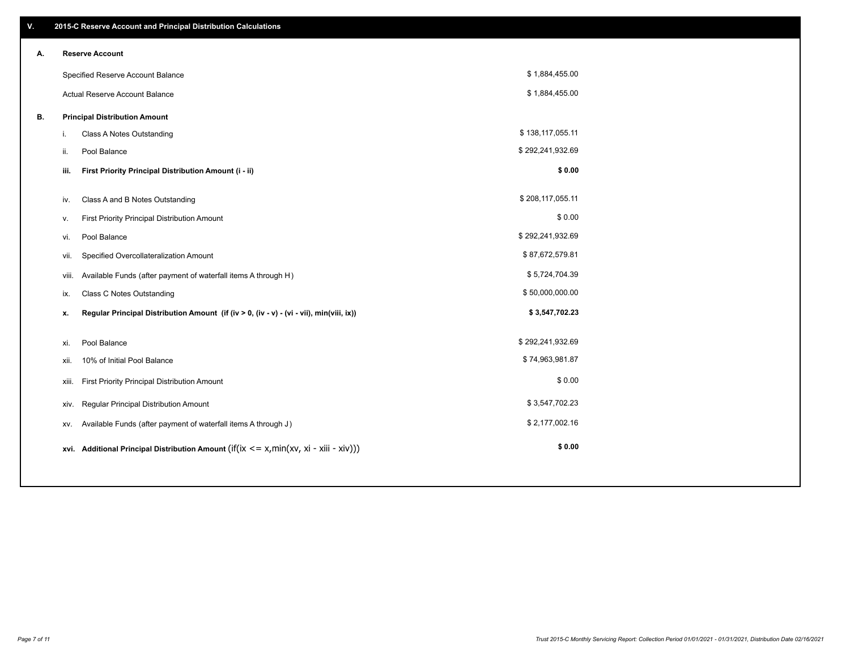| V. |       | 2015-C Reserve Account and Principal Distribution Calculations                             |                  |  |
|----|-------|--------------------------------------------------------------------------------------------|------------------|--|
| А. |       | <b>Reserve Account</b>                                                                     |                  |  |
|    |       | Specified Reserve Account Balance                                                          | \$1,884,455.00   |  |
|    |       | Actual Reserve Account Balance                                                             | \$1,884,455.00   |  |
| В. |       | <b>Principal Distribution Amount</b>                                                       |                  |  |
|    | j.    | Class A Notes Outstanding                                                                  | \$138,117,055.11 |  |
|    | ii.   | Pool Balance                                                                               | \$292,241,932.69 |  |
|    | iii.  | First Priority Principal Distribution Amount (i - ii)                                      | \$0.00           |  |
|    |       |                                                                                            |                  |  |
|    | iv.   | Class A and B Notes Outstanding                                                            | \$208,117,055.11 |  |
|    | ٧.    | First Priority Principal Distribution Amount                                               | \$0.00           |  |
|    | vi.   | Pool Balance                                                                               | \$292,241,932.69 |  |
|    | vii.  | Specified Overcollateralization Amount                                                     | \$87,672,579.81  |  |
|    | viii. | Available Funds (after payment of waterfall items A through H)                             | \$5,724,704.39   |  |
|    | ix.   | <b>Class C Notes Outstanding</b>                                                           | \$50,000,000.00  |  |
|    | x.    | Regular Principal Distribution Amount (if (iv > 0, (iv - v) - (vi - vii), min(viii, ix))   | \$3,547,702.23   |  |
|    |       |                                                                                            |                  |  |
|    | xi.   | Pool Balance                                                                               | \$292,241,932.69 |  |
|    | xii.  | 10% of Initial Pool Balance                                                                | \$74,963,981.87  |  |
|    | xiii. | First Priority Principal Distribution Amount                                               | \$0.00           |  |
|    | xiv.  | Regular Principal Distribution Amount                                                      | \$3,547,702.23   |  |
|    | XV.   | Available Funds (after payment of waterfall items A through J)                             | \$2,177,002.16   |  |
|    |       | xvi. Additional Principal Distribution Amount (if(ix $\lt$ = x, min(xv, xi - xiii - xiv))) | \$0.00           |  |
|    |       |                                                                                            |                  |  |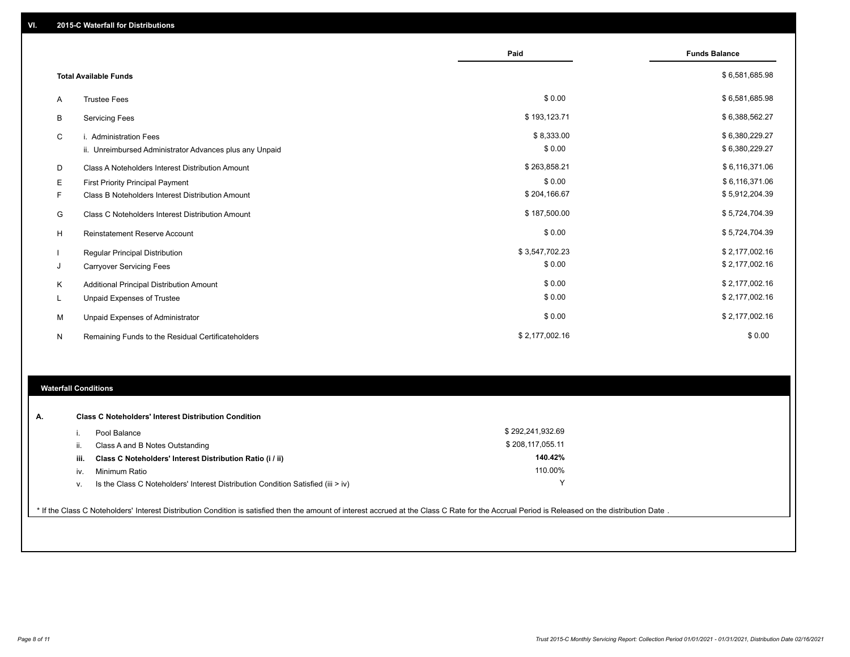|   |                                                         | Paid           | <b>Funds Balance</b> |
|---|---------------------------------------------------------|----------------|----------------------|
|   | <b>Total Available Funds</b>                            |                | \$6,581,685.98       |
|   |                                                         |                |                      |
| A | <b>Trustee Fees</b>                                     | \$0.00         | \$6,581,685.98       |
| В | <b>Servicing Fees</b>                                   | \$193,123.71   | \$6,388,562.27       |
| C | i. Administration Fees                                  | \$8,333.00     | \$6,380,229.27       |
|   | ii. Unreimbursed Administrator Advances plus any Unpaid | \$0.00         | \$6,380,229.27       |
| D | Class A Noteholders Interest Distribution Amount        | \$263,858.21   | \$6,116,371.06       |
| Е | <b>First Priority Principal Payment</b>                 | \$0.00         | \$6,116,371.06       |
| F | Class B Noteholders Interest Distribution Amount        | \$204,166.67   | \$5,912,204.39       |
| G | <b>Class C Noteholders Interest Distribution Amount</b> | \$187,500.00   | \$5,724,704.39       |
| н | <b>Reinstatement Reserve Account</b>                    | \$0.00         | \$5,724,704.39       |
|   | <b>Regular Principal Distribution</b>                   | \$3,547,702.23 | \$2,177,002.16       |
| J | <b>Carryover Servicing Fees</b>                         | \$0.00         | \$2,177,002.16       |
| Κ | Additional Principal Distribution Amount                | \$0.00         | \$2,177,002.16       |
| L | Unpaid Expenses of Trustee                              | \$0.00         | \$2,177,002.16       |
| M | Unpaid Expenses of Administrator                        | \$0.00         | \$2,177,002.16       |
| N | Remaining Funds to the Residual Certificateholders      | \$2,177,002.16 | \$0.00               |
|   |                                                         |                |                      |

### **Waterfall Conditions**

| А. |      | <b>Class C Noteholders' Interest Distribution Condition</b>                        |                  |  |
|----|------|------------------------------------------------------------------------------------|------------------|--|
|    |      | Pool Balance                                                                       | \$292,241,932.69 |  |
|    | н.   | Class A and B Notes Outstanding                                                    | \$208,117,055.11 |  |
|    | iii. | Class C Noteholders' Interest Distribution Ratio (i / ii)                          | 140.42%          |  |
|    | IV.  | Minimum Ratio                                                                      | 110.00%          |  |
|    | v.   | Is the Class C Noteholders' Interest Distribution Condition Satisfied (iii $>$ iv) | v                |  |
|    |      |                                                                                    |                  |  |

\* If the Class C Noteholders' Interest Distribution Condition is satisfied then the amount of interest accrued at the Class C Rate for the Accrual Period is Released on the distribution Date .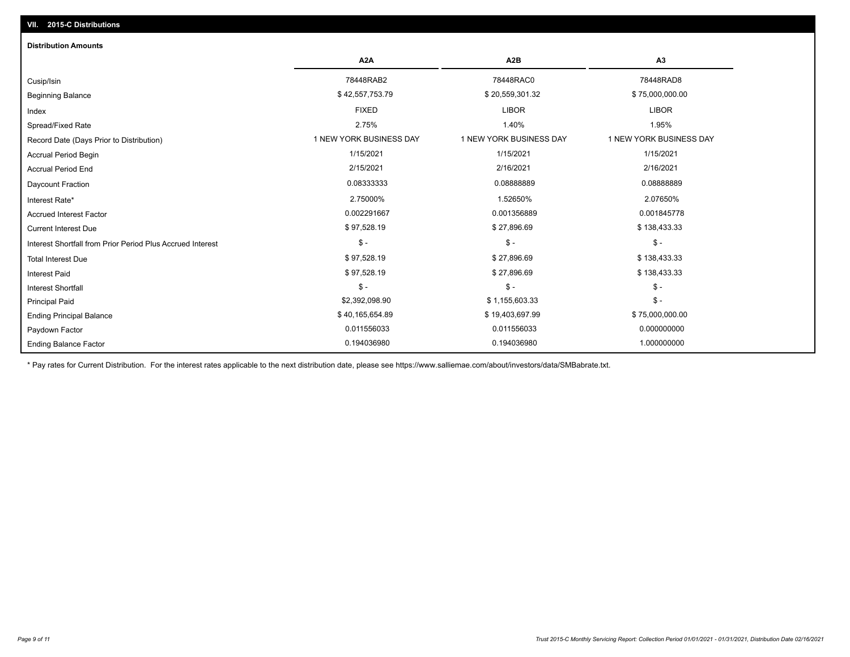# Ending Balance Factor Paydown Factor 0.011556033 0.011556033 0.000000000 Ending Principal Balance \$ 75,000,000.00 \$ 19,403,697.99 \$ 19,403,697.99 \$ 19,403,697.99 Principal Paid \$2,392,098.90 \$ 1,155,603.33 \$ - \$ - \$ - \$ - Interest Shortfall \$ 97,528.19 \$ 27,896.69 \$ 138,433.33 Interest Paid Total Interest Due \$ 97,528.19 \$ 27,896.69 \$ 138,433.33 \$ - \$ - \$ - Interest Shortfall from Prior Period Plus Accrued Interest Current Interest Due \$ 97,528.19 \$ 27,896.69 \$ 138,433.33 Accrued Interest Factor 0.002291667 0.001356889 0.001845778 Interest Rate\* 2.75000% 1.52650% 2.07650% Daycount Fraction 0.08333333 0.08888889 0.08888889 Accrual Period End 2/15/2021 2/16/2021 2/16/2021 Accrual Period Begin 1/15/2021 1/15/2021 1/15/2021 Record Date (Days Prior to Distribution) **1 NEW YORK BUSINESS DAY** 1 NEW YORK BUSINESS DAY 1 NEW YORK BUSINESS DAY Spread/Fixed Rate 2.75% 1.40% 1.95% Index FIXED LIBOR LIBOR Beginning Balance \$ 75,000,000.00 \$ 30,557,753.79 \$ \$ \$ \$ 20,559,301.32 \$ \$ 75,000,000.00 \$ \$ 75,000,000.00 \$ Cusip/Isin 78448RAB2 78448RAC0 78448RAD8 **A2A A2B A3** 0.194036980 0.194036980 1.000000000 **Distribution Amounts**

\* Pay rates for Current Distribution. For the interest rates applicable to the next distribution date, please see https://www.salliemae.com/about/investors/data/SMBabrate.txt.

**VII. 2015-C Distributions**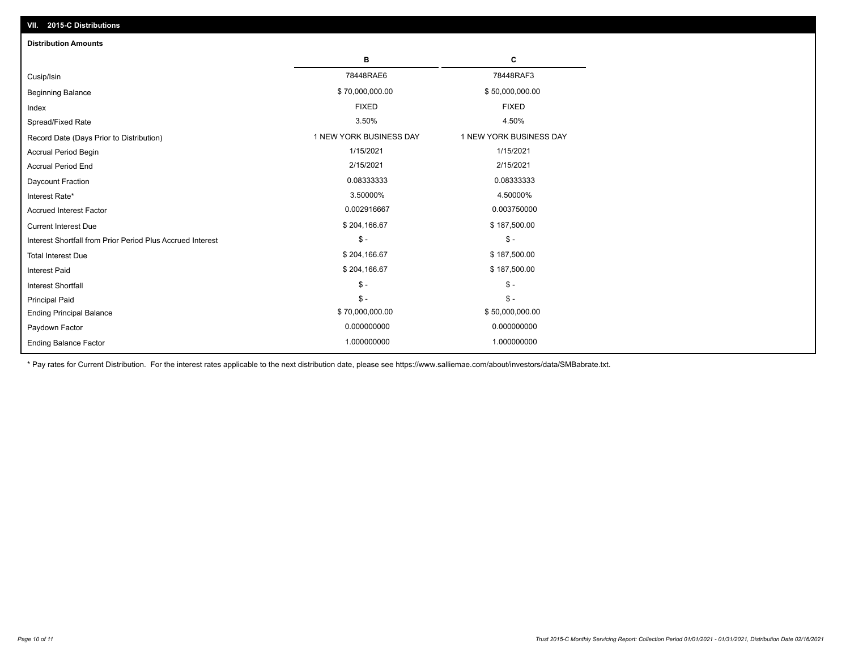| VII. 2015-C Distributions                                  |                         |                         |  |  |  |
|------------------------------------------------------------|-------------------------|-------------------------|--|--|--|
| <b>Distribution Amounts</b>                                |                         |                         |  |  |  |
|                                                            | в                       | С                       |  |  |  |
| Cusip/Isin                                                 | 78448RAE6               | 78448RAF3               |  |  |  |
| <b>Beginning Balance</b>                                   | \$70,000,000.00         | \$50,000,000.00         |  |  |  |
| Index                                                      | <b>FIXED</b>            | <b>FIXED</b>            |  |  |  |
| Spread/Fixed Rate                                          | 3.50%                   | 4.50%                   |  |  |  |
| Record Date (Days Prior to Distribution)                   | 1 NEW YORK BUSINESS DAY | 1 NEW YORK BUSINESS DAY |  |  |  |
| Accrual Period Begin                                       | 1/15/2021               | 1/15/2021               |  |  |  |
| <b>Accrual Period End</b>                                  | 2/15/2021               | 2/15/2021               |  |  |  |
| Daycount Fraction                                          | 0.08333333              | 0.08333333              |  |  |  |
| Interest Rate*                                             | 3.50000%                | 4.50000%                |  |  |  |
| <b>Accrued Interest Factor</b>                             | 0.002916667             | 0.003750000             |  |  |  |
| <b>Current Interest Due</b>                                | \$204,166.67            | \$187,500.00            |  |  |  |
| Interest Shortfall from Prior Period Plus Accrued Interest | $\mathcal{S}$ -         | $\mathsf{\$}$ -         |  |  |  |
| <b>Total Interest Due</b>                                  | \$204,166.67            | \$187,500.00            |  |  |  |
| <b>Interest Paid</b>                                       | \$204,166.67            | \$187,500.00            |  |  |  |
| Interest Shortfall                                         | $\frac{1}{2}$           | $\mathsf{\$}$ -         |  |  |  |
| <b>Principal Paid</b>                                      | $$ -$                   | $\mathsf{\$}$ -         |  |  |  |
| <b>Ending Principal Balance</b>                            | \$70,000,000.00         | \$50,000,000.00         |  |  |  |
| Paydown Factor                                             | 0.000000000             | 0.000000000             |  |  |  |
| <b>Ending Balance Factor</b>                               | 1.000000000             | 1.000000000             |  |  |  |

\* Pay rates for Current Distribution. For the interest rates applicable to the next distribution date, please see https://www.salliemae.com/about/investors/data/SMBabrate.txt.